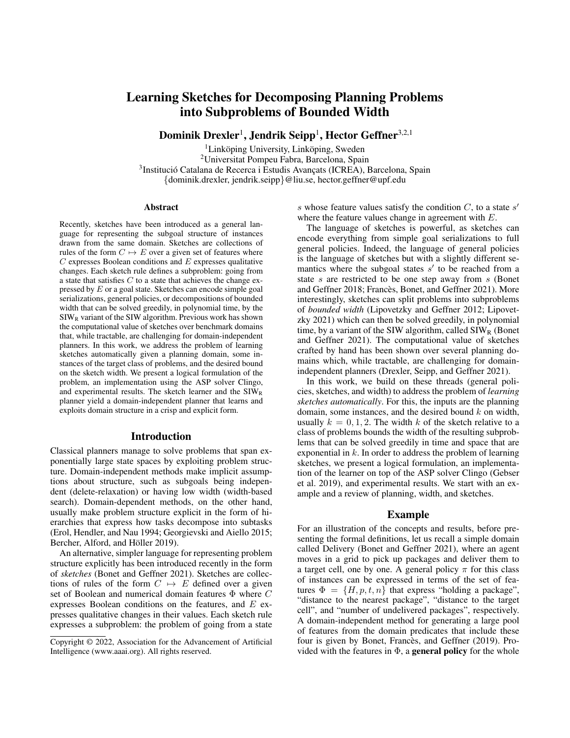# Learning Sketches for Decomposing Planning Problems into Subproblems of Bounded Width

Dominik Drexler $^1$ , Jendrik Seipp $^1$ , Hector Geffner $^{3,2,1}$ 

 ${}^{1}$ Linköping University, Linköping, Sweden <sup>2</sup>Universitat Pompeu Fabra, Barcelona, Spain <sup>3</sup>Institució Catalana de Recerca i Estudis Avançats (ICREA), Barcelona, Spain {dominik.drexler, jendrik.seipp}@liu.se, hector.geffner@upf.edu

#### Abstract

Recently, sketches have been introduced as a general language for representing the subgoal structure of instances drawn from the same domain. Sketches are collections of rules of the form  $C \mapsto E$  over a given set of features where  $C$  expresses Boolean conditions and  $E$  expresses qualitative changes. Each sketch rule defines a subproblem: going from a state that satisfies  $C$  to a state that achieves the change expressed by E or a goal state. Sketches can encode simple goal serializations, general policies, or decompositions of bounded width that can be solved greedily, in polynomial time, by the  $S I W_R$  variant of the SIW algorithm. Previous work has shown the computational value of sketches over benchmark domains that, while tractable, are challenging for domain-independent planners. In this work, we address the problem of learning sketches automatically given a planning domain, some instances of the target class of problems, and the desired bound on the sketch width. We present a logical formulation of the problem, an implementation using the ASP solver Clingo, and experimental results. The sketch learner and the  $SIW_R$ planner yield a domain-independent planner that learns and exploits domain structure in a crisp and explicit form.

#### Introduction

Classical planners manage to solve problems that span exponentially large state spaces by exploiting problem structure. Domain-independent methods make implicit assumptions about structure, such as subgoals being independent (delete-relaxation) or having low width (width-based search). Domain-dependent methods, on the other hand, usually make problem structure explicit in the form of hierarchies that express how tasks decompose into subtasks (Erol, Hendler, and Nau 1994; Georgievski and Aiello 2015; Bercher, Alford, and Höller 2019).

An alternative, simpler language for representing problem structure explicitly has been introduced recently in the form of *sketches* (Bonet and Geffner 2021). Sketches are collections of rules of the form  $C \mapsto E$  defined over a given set of Boolean and numerical domain features Φ where C expresses Boolean conditions on the features, and E expresses qualitative changes in their values. Each sketch rule expresses a subproblem: the problem of going from a state

s whose feature values satisfy the condition  $C$ , to a state  $s'$ where the feature values change in agreement with E.

The language of sketches is powerful, as sketches can encode everything from simple goal serializations to full general policies. Indeed, the language of general policies is the language of sketches but with a slightly different semantics where the subgoal states  $s'$  to be reached from a state s are restricted to be one step away from s (Bonet and Geffner 2018; Francès, Bonet, and Geffner 2021). More interestingly, sketches can split problems into subproblems of *bounded width* (Lipovetzky and Geffner 2012; Lipovetzky 2021) which can then be solved greedily, in polynomial time, by a variant of the SIW algorithm, called  $\text{SIW}_R$  (Bonet and Geffner 2021). The computational value of sketches crafted by hand has been shown over several planning domains which, while tractable, are challenging for domainindependent planners (Drexler, Seipp, and Geffner 2021).

In this work, we build on these threads (general policies, sketches, and width) to address the problem of *learning sketches automatically*. For this, the inputs are the planning domain, some instances, and the desired bound  $k$  on width, usually  $k = 0, 1, 2$ . The width k of the sketch relative to a class of problems bounds the width of the resulting subproblems that can be solved greedily in time and space that are exponential in  $k$ . In order to address the problem of learning sketches, we present a logical formulation, an implementation of the learner on top of the ASP solver Clingo (Gebser et al. 2019), and experimental results. We start with an example and a review of planning, width, and sketches.

## Example

For an illustration of the concepts and results, before presenting the formal definitions, let us recall a simple domain called Delivery (Bonet and Geffner 2021), where an agent moves in a grid to pick up packages and deliver them to a target cell, one by one. A general policy  $\pi$  for this class of instances can be expressed in terms of the set of features  $\Phi = \{H, p, t, n\}$  that express "holding a package", "distance to the nearest package", "distance to the target cell", and "number of undelivered packages", respectively. A domain-independent method for generating a large pool of features from the domain predicates that include these four is given by Bonet, Francès, and Geffner (2019). Provided with the features in  $\Phi$ , a **general policy** for the whole

Copyright © 2022, Association for the Advancement of Artificial Intelligence (www.aaai.org). All rights reserved.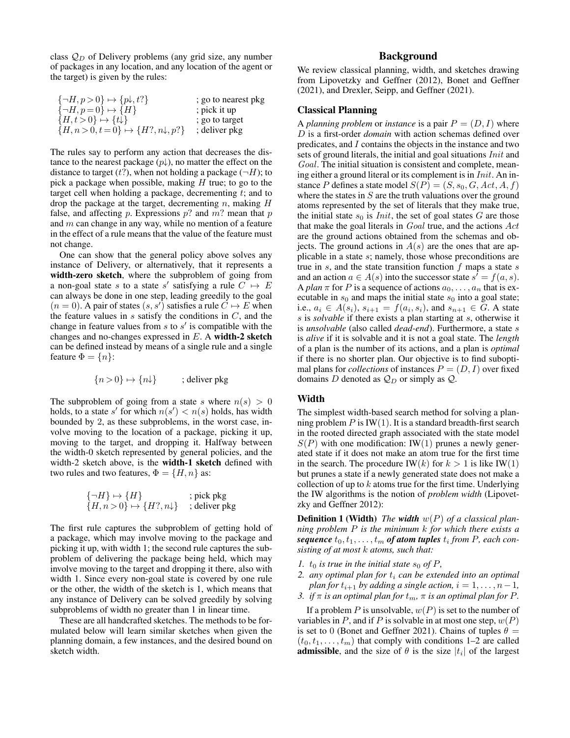class  $Q_D$  of Delivery problems (any grid size, any number of packages in any location, and any location of the agent or the target) is given by the rules:

| $\{\neg H, p > 0\} \mapsto \{p\downarrow, t?\}$       | ; go to nearest pkg |
|-------------------------------------------------------|---------------------|
| $\{\neg H, p=0\} \mapsto \{H\}$                       | ; pick it up        |
| ${H, t>0} \mapsto {\{\downarrow\}}$                   | ; go to target      |
| ${H, n > 0, t = 0} \rightarrow {H?, n\downarrow, p?}$ | ; deliver pkg       |

The rules say to perform any action that decreases the distance to the nearest package  $(p\downarrow)$ , no matter the effect on the distance to target  $(t?)$ , when not holding a package  $(\neg H)$ ; to pick a package when possible, making  $H$  true; to go to the target cell when holding a package, decrementing  $t$ ; and to drop the package at the target, decrementing  $n$ , making  $H$ false, and affecting p. Expressions  $p$ ? and  $m$ ? mean that p and  $m$  can change in any way, while no mention of a feature in the effect of a rule means that the value of the feature must not change.

One can show that the general policy above solves any instance of Delivery, or alternatively, that it represents a width-zero sketch, where the subproblem of going from a non-goal state s to a state s' satisfying a rule  $C \mapsto E$ can always be done in one step, leading greedily to the goal  $(n = 0)$ . A pair of states  $(s, s')$  satisfies a rule  $\ddot{C} \mapsto E$  when the feature values in  $s$  satisfy the conditions in  $C$ , and the change in feature values from  $s$  to  $s'$  is compatible with the changes and no-changes expressed in  $E$ . A width-2 sketch can be defined instead by means of a single rule and a single feature  $\Phi = \{n\}$ :

$$
\{n>0\} \mapsto \{n\downarrow\} \qquad ; \text{ deliver pkg}
$$

The subproblem of going from a state s where  $n(s) > 0$ holds, to a state s' for which  $n(s') < n(s)$  holds, has width bounded by 2, as these subproblems, in the worst case, involve moving to the location of a package, picking it up, moving to the target, and dropping it. Halfway between the width-0 sketch represented by general policies, and the width-2 sketch above, is the width-1 sketch defined with two rules and two features,  $\Phi = \{H, n\}$  as:

$$
\begin{array}{l}\n\{\neg H\} \mapsto \{H\} \quad \text{; pick pkg} \\
\{H, n > 0\} \mapsto \{H?, n \downarrow\} \quad \text{; deliver pkg}\n\end{array}
$$

The first rule captures the subproblem of getting hold of a package, which may involve moving to the package and picking it up, with width 1; the second rule captures the subproblem of delivering the package being held, which may involve moving to the target and dropping it there, also with width 1. Since every non-goal state is covered by one rule or the other, the width of the sketch is 1, which means that any instance of Delivery can be solved greedily by solving subproblems of width no greater than 1 in linear time.

These are all handcrafted sketches. The methods to be formulated below will learn similar sketches when given the planning domain, a few instances, and the desired bound on sketch width.

## Background

We review classical planning, width, and sketches drawing from Lipovetzky and Geffner (2012), Bonet and Geffner (2021), and Drexler, Seipp, and Geffner (2021).

## Classical Planning

A *planning problem* or *instance* is a pair  $P = (D, I)$  where D is a first-order *domain* with action schemas defined over predicates, and I contains the objects in the instance and two sets of ground literals, the initial and goal situations *Init* and Goal. The initial situation is consistent and complete, meaning either a ground literal or its complement is in *Init*. An instance P defines a state model  $S(P) = (S, s_0, G, Act, A, f)$ where the states in  $S$  are the truth valuations over the ground atoms represented by the set of literals that they make true, the initial state  $s_0$  is *Init*, the set of goal states  $G$  are those that make the goal literals in Goal true, and the actions Act are the ground actions obtained from the schemas and objects. The ground actions in  $A(s)$  are the ones that are applicable in a state s; namely, those whose preconditions are true in  $s$ , and the state transition function  $f$  maps a state  $s$ and an action  $a \in A(s)$  into the successor state  $s' = f(a, s)$ . A *plan*  $\pi$  for P is a sequence of actions  $a_0, \ldots, a_n$  that is executable in  $s_0$  and maps the initial state  $s_0$  into a goal state; i.e.,  $a_i \in A(s_i)$ ,  $s_{i+1} = f(a_i, s_i)$ , and  $s_{n+1} \in G$ . A state s is *solvable* if there exists a plan starting at s, otherwise it is *unsolvable* (also called *dead-end*). Furthermore, a state s is *alive* if it is solvable and it is not a goal state. The *length* of a plan is the number of its actions, and a plan is *optimal* if there is no shorter plan. Our objective is to find suboptimal plans for *collections* of instances  $P = (D, I)$  over fixed domains D denoted as  $\mathcal{Q}_D$  or simply as  $\mathcal{Q}$ .

# **Width**

The simplest width-based search method for solving a planning problem  $P$  is IW(1). It is a standard breadth-first search in the rooted directed graph associated with the state model  $S(P)$  with one modification: IW(1) prunes a newly generated state if it does not make an atom true for the first time in the search. The procedure IW(k) for  $k > 1$  is like IW(1) but prunes a state if a newly generated state does not make a collection of up to  $k$  atoms true for the first time. Underlying the IW algorithms is the notion of *problem width* (Lipovetzky and Geffner 2012):

Definition 1 (Width) *The width* w(P) *of a classical planning problem* P *is the minimum* k *for which there exists a*  $\textit{sequence}~t_0,t_1,\ldots,t_m$  of atom tuples  $t_i$  from  $P$ , each con*sisting of at most* k *atoms, such that:*

- *1.*  $t_0$  *is true in the initial state*  $s_0$  *of*  $P$ *,*
- 2. *any optimal plan for*  $t_i$  *can be extended into an optimal plan for*  $t_{i+1}$  *by adding a single action,*  $i = 1, \ldots, n-1$ ,
- *3. if*  $\pi$  *is an optimal plan for*  $t_m$ ,  $\pi$  *is an optimal plan for*  $P$ *.*

If a problem P is unsolvable,  $w(P)$  is set to the number of variables in P, and if P is solvable in at most one step,  $w(P)$ is set to 0 (Bonet and Geffner 2021). Chains of tuples  $\theta =$  $(t_0, t_1, \ldots, t_m)$  that comply with conditions 1–2 are called **admissible**, and the size of  $\theta$  is the size  $|t_i|$  of the largest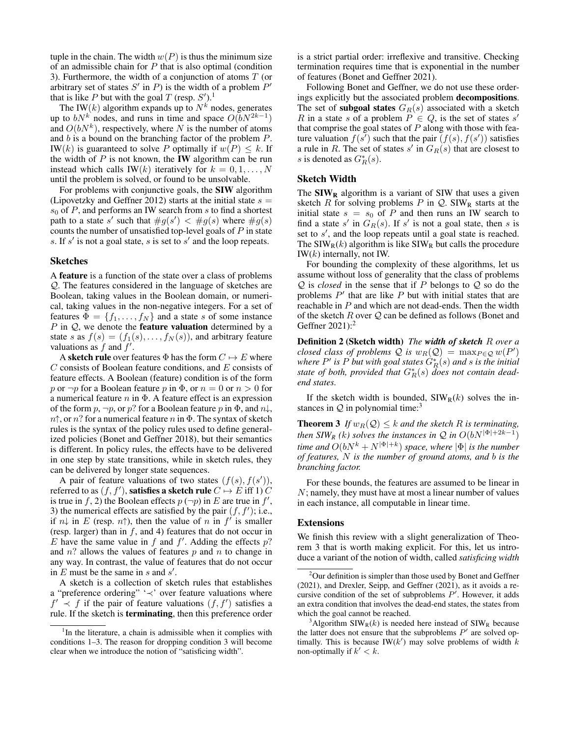tuple in the chain. The width  $w(P)$  is thus the minimum size of an admissible chain for  $P$  that is also optimal (condition 3). Furthermore, the width of a conjunction of atoms  $T$  (or arbitrary set of states  $S'$  in P) is the width of a problem  $P'$ that is like P but with the goal T (resp.  $S'$ ).<sup>1</sup>

The IW(k) algorithm expands up to  $N^k$  nodes, generates up to  $bN^k$  nodes, and runs in time and space  $O(bN^{2k-1})$ and  $O(bN^k)$ , respectively, where N is the number of atoms and  $b$  is a bound on the branching factor of the problem  $P$ . IW(k) is guaranteed to solve P optimally if  $w(P) \leq k$ . If the width of  $P$  is not known, the **IW** algorithm can be run instead which calls IW(k) iteratively for  $k = 0, 1, \ldots, N$ until the problem is solved, or found to be unsolvable.

For problems with conjunctive goals, the SIW algorithm (Lipovetzky and Geffner 2012) starts at the initial state  $s =$  $s_0$  of P, and performs an IW search from s to find a shortest path to a state s' such that  $\#g(s') < \#g(s)$  where  $\#g(s)$ counts the number of unsatisfied top-level goals of  $P$  in state s. If  $s'$  is not a goal state, s is set to  $s'$  and the loop repeats.

#### Sketches

A feature is a function of the state over a class of problems Q. The features considered in the language of sketches are Boolean, taking values in the Boolean domain, or numerical, taking values in the non-negative integers. For a set of features  $\Phi = \{f_1, \ldots, f_N\}$  and a state s of some instance  $P$  in  $Q$ , we denote the **feature valuation** determined by a state s as  $f(s) = (f_1(s), \ldots, f_N(s))$ , and arbitrary feature valuations as  $f$  and  $f'$ .

A sketch rule over features  $\Phi$  has the form  $C \mapsto E$  where  $C$  consists of Boolean feature conditions, and  $E$  consists of feature effects. A Boolean (feature) condition is of the form p or  $\neg p$  for a Boolean feature p in  $\Phi$ , or  $n = 0$  or  $n > 0$  for a numerical feature  $n$  in  $\Phi$ . A feature effect is an expression of the form  $p, \neg p$ , or  $p?$  for a Boolean feature p in  $\Phi$ , and  $n\downarrow$ ,  $n\uparrow$ , or n? for a numerical feature n in  $\Phi$ . The syntax of sketch rules is the syntax of the policy rules used to define generalized policies (Bonet and Geffner 2018), but their semantics is different. In policy rules, the effects have to be delivered in one step by state transitions, while in sketch rules, they can be delivered by longer state sequences.

A pair of feature valuations of two states  $(f(s), f(s'))$ , referred to as  $(f, f'),$  satisfies a sketch rule  $C \mapsto E$  iff 1)  $\overline{C}$ is true in f, 2) the Boolean effects  $p(\neg p)$  in E are true in f', 3) the numerical effects are satisfied by the pair  $(f, f')$ ; i.e., if  $n\downarrow$  in E (resp.  $n\uparrow$ ), then the value of n in  $f'$  is smaller (resp. larger) than in  $f$ , and 4) features that do not occur in  $E$  have the same value in  $f$  and  $f'$ . Adding the effects  $p$ ? and  $n$ ? allows the values of features  $p$  and  $n$  to change in any way. In contrast, the value of features that do not occur in  $E$  must be the same in  $s$  and  $s'$ .

A sketch is a collection of sketch rules that establishes a "preference ordering" '≺' over feature valuations where  $f' \prec f$  if the pair of feature valuations  $(f, f')$  satisfies a rule. If the sketch is terminating, then this preference order is a strict partial order: irreflexive and transitive. Checking termination requires time that is exponential in the number of features (Bonet and Geffner 2021).

Following Bonet and Geffner, we do not use these orderings explicitly but the associated problem decompositions. The set of **subgoal states**  $G_R(s)$  associated with a sketch R in a state s of a problem  $P \in Q$ , is the set of states s' that comprise the goal states of  $P$  along with those with feature valuation  $f(s^{\prime})$  such that the pair  $(f(s), f(s^{\prime}))$  satisfies a rule in R. The set of states  $s'$  in  $G_R(s)$  that are closest to s is denoted as  $G_R^*(s)$ .

#### Sketch Width

The  $\text{SIW}_R$  algorithm is a variant of SIW that uses a given sketch R for solving problems P in  $Q$ . SIW<sub>R</sub> starts at the initial state  $s = s_0$  of P and then runs an IW search to find a state s' in  $G_R(s)$ . If s' is not a goal state, then s is set to  $s'$ , and the loop repeats until a goal state is reached. The  $\text{SIW}_R(k)$  algorithm is like  $\text{SIW}_R$  but calls the procedure  $IW(k)$  internally, not IW.

For bounding the complexity of these algorithms, let us assume without loss of generality that the class of problems Q is *closed* in the sense that if P belongs to Q so do the problems  $P'$  that are like  $P$  but with initial states that are reachable in P and which are not dead-ends. Then the width of the sketch  $R$  over  $Q$  can be defined as follows (Bonet and Geffner 2021):<sup>2</sup>

Definition 2 (Sketch width) *The width of sketch* R *over a closed class of problems*  $\mathcal Q$  *is*  $w_R(\mathcal Q) = \max_{P \in \mathcal Q} w(P)$ where  $P'$  is  $P$  *but with goal states*  $G^*_R(s)$  *and*  $s$  *is the initial state of both, provided that* G<sup>∗</sup> <sup>R</sup>(s) *does not contain deadend states.*

If the sketch width is bounded,  $\text{SIW}_R(k)$  solves the instances in  $Q$  in polynomial time:<sup>3</sup>

**Theorem 3** *If*  $w_R(Q) \leq k$  *and the sketch R is terminating, then SIW<sub>R</sub>* (*k*) solves the instances in  $\mathcal Q$  in  $O(bN^{|\Phi|+2k-1})$  $t$ *ime and*  $O(bN^k + N^{|\Phi|+k})$  *space, where*  $|\Phi|$  *is the number of features,* N *is the number of ground atoms, and* b *is the branching factor.*

For these bounds, the features are assumed to be linear in N; namely, they must have at most a linear number of values in each instance, all computable in linear time.

#### Extensions

We finish this review with a slight generalization of Theorem 3 that is worth making explicit. For this, let us introduce a variant of the notion of width, called *satisficing width*

<sup>&</sup>lt;sup>1</sup>In the literature, a chain is admissible when it complies with conditions 1–3. The reason for dropping condition 3 will become clear when we introduce the notion of "satisficing width".

 $2$ Our definition is simpler than those used by Bonet and Geffner (2021), and Drexler, Seipp, and Geffner (2021), as it avoids a recursive condition of the set of subproblems  $P'$ . However, it adds an extra condition that involves the dead-end states, the states from which the goal cannot be reached.

<sup>&</sup>lt;sup>3</sup>Algorithm SIW<sub>R</sub> $(k)$  is needed here instead of SIW<sub>R</sub> because the latter does not ensure that the subproblems  $P'$  are solved optimally. This is because IW( $k'$ ) may solve problems of width  $k$ non-optimally if  $k' < k$ .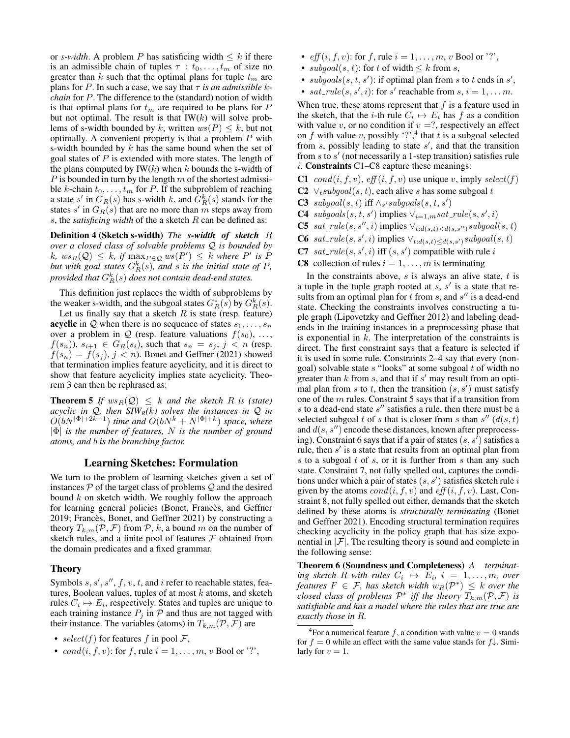or *s-width*. A problem P has satisficing width  $\leq k$  if there is an admissible chain of tuples  $\tau : t_0, \ldots, t_m$  of size no greater than  $k$  such that the optimal plans for tuple  $t_m$  are plans for P. In such a case, we say that  $\tau$  *is an admissible kchain* for P. The difference to the (standard) notion of width is that optimal plans for  $t_m$  are required to be plans for  $P$ but not optimal. The result is that  $IW(k)$  will solve problems of s-width bounded by k, written  $ws(P) \leq k$ , but not optimally. A convenient property is that a problem  $P$  with s-width bounded by  $k$  has the same bound when the set of goal states of  $P$  is extended with more states. The length of the plans computed by  $IW(k)$  when k bounds the s-width of  $P$  is bounded in turn by the length  $m$  of the shortest admissible k-chain  $t_0, \ldots, t_m$  for P. If the subproblem of reaching a state s' in  $G_R(s)$  has s-width k, and  $G_R^k(s)$  stands for the states s' in  $G_R(s)$  that are no more than m steps away from s, the *satisficing width* of the a sketch R can be defined as:

Definition 4 (Sketch s-width) *The s-width of sketch* R *over a closed class of solvable problems* Q *is bounded by*  $k, \text{ } ws_R(\mathcal{Q}) \leq k, \text{ if } \max_{P \in \mathcal{Q}} \text{ } ws(P') \leq k \text{ } \text{ where } P' \text{ is } P$ *but with goal states*  $G_R^k(s)$ *, and s is the initial state of P,* provided that  $G_R^k(s)$  does not contain dead-end states.

This definition just replaces the width of subproblems by the weaker s-width, and the subgoal states  $G_R^*(\tilde{s})$  by  $G_R^k(s)$ .

Let us finally say that a sketch  $R$  is state (resp. feature) **acyclic** in Q when there is no sequence of states  $s_1, \ldots, s_n$ over a problem in Q (resp. feature valuations  $f(s_0), \ldots,$  $f(s_n)$ ,  $s_{i+1} \in G_R(s_i)$ , such that  $s_n = s_j$ ,  $j < n$  (resp.  $f(s_n) = f(s_i), j < n$ ). Bonet and Geffner (2021) showed that termination implies feature acyclicity, and it is direct to show that feature acyclicity implies state acyclicity. Theorem 3 can then be rephrased as:

**Theorem 5** If  $ws_R(Q) \leq k$  and the sketch R is (state) *acyclic in* Q*, then SIWR(*k*) solves the instances in* Q *in*  $O(bN^{|\Phi|+2k-1})$  time and  $O(bN^k+N^{|\Phi|+k})$  space, where |Φ| *is the number of features,* N *is the number of ground atoms, and* b *is the branching factor.*

# Learning Sketches: Formulation

We turn to the problem of learning sketches given a set of instances  $P$  of the target class of problems  $Q$  and the desired bound  $k$  on sketch width. We roughly follow the approach for learning general policies (Bonet, Francès, and Geffner 2019; Francès, Bonet, and Geffner 2021) by constructing a theory  $T_{k,m}(P, \mathcal{F})$  from P, k, a bound m on the number of sketch rules, and a finite pool of features  $\mathcal F$  obtained from the domain predicates and a fixed grammar.

# Theory

Symbols  $s, s', s'', f, v, t$ , and i refer to reachable states, features, Boolean values, tuples of at most  $k$  atoms, and sketch rules  $C_i \mapsto E_i$ , respectively. States and tuples are unique to each training instance  $P_j$  in  $\mathcal P$  and thus are not tagged with their instance. The variables (atoms) in  $T_{k,m}(P, \mathcal{F})$  are

•  $cond(i, f, v)$ : for f, rule  $i = 1, \ldots, m, v$  Bool or '?',

- $\operatorname{eff}(i, f, v)$ : for f, rule  $i = 1, \ldots, m, v$  Bool or '?',
- $subgoal(s, t)$ : for t of width  $\leq k$  from s,
- subgoals  $(s, t, s')$ : if optimal plan from s to t ends in s',
- $sat\_rule(s, s', i)$ : for s' reachable from  $s, i = 1, \ldots m$ .

When true, these atoms represent that  $f$  is a feature used in the sketch, that the *i*-th rule  $C_i \mapsto E_i$  has f as a condition with value v, or no condition if  $v = ?$ , respectively an effect on f with value v, possibly '?',<sup>4</sup> that t is a subgoal selected from  $s$ , possibly leading to state  $s'$ , and that the transition from  $s$  to  $s'$  (not necessarily a 1-step transition) satisfies rule i. Constraints C1–C8 capture these meanings:

- C1 cond(i, f, v), eff (i, f, v) use unique v, imply select(f)
- C2  $\vee$ <sub>t</sub>subgoal(s, t), each alive s has some subgoal t
- **C3** subgoal $(s, t)$  iff  $\wedge_{s'}$ subgoal $s(s, t, s')$
- **C4**  $subgoals(s, t, s')$  implies  $\vee_{i=1,m} sat\_rule(s, s', i)$
- C5 sat\_rule(s, s'', i) implies  $\vee_{t:d(s,t) < d(s,s'')}subgoal(s,t)$
- **C6** sat\_rule(s, s', i) implies  $\vee_{t:d(s,t) \leq d(s,s')} \text{subgoal}(s,t)$
- C7  $sat$ - $rule(s, s', i)$  iff  $(s, s')$  compatible with rule i
- **C8** collection of rules  $i = 1, \ldots, m$  is terminating

In the constraints above,  $s$  is always an alive state,  $t$  is a tuple in the tuple graph rooted at  $s, s'$  is a state that results from an optimal plan for  $t$  from  $s$ , and  $s''$  is a dead-end state. Checking the constraints involves constructing a tuple graph (Lipovetzky and Geffner 2012) and labeling deadends in the training instances in a preprocessing phase that is exponential in  $k$ . The interpretation of the constraints is direct. The first constraint says that a feature is selected if it is used in some rule. Constraints 2–4 say that every (nongoal) solvable state  $s$  "looks" at some subgoal  $t$  of width no greater than  $k$  from  $s$ , and that if  $s'$  may result from an optimal plan from s to t, then the transition  $(s, s')$  must satisfy one of the m rules. Constraint 5 says that if a transition from  $s$  to a dead-end state  $s''$  satisfies a rule, then there must be a selected subgoal t of s that is closer from s than  $s''(d(s, t))$ and  $d(s, s'')$  encode these distances, known after preprocessing). Constraint 6 says that if a pair of states  $(s, s')$  satisfies a rule, then  $s'$  is a state that results from an optimal plan from s to a subgoal  $t$  of  $s$ , or it is further from  $s$  than any such state. Constraint 7, not fully spelled out, captures the conditions under which a pair of states  $(s, s')$  satisfies sketch rule i given by the atoms  $cond(i, f, v)$  and  $eff(i, f, v)$ . Last, Constraint 8, not fully spelled out either, demands that the sketch defined by these atoms is *structurally terminating* (Bonet and Geffner 2021). Encoding structural termination requires checking acyclicity in the policy graph that has size exponential in  $|\mathcal{F}|$ . The resulting theory is sound and complete in the following sense:

Theorem 6 (Soundness and Completeness) *A terminat-* $\lim g \, \text{sketch } R \, \text{ with \, rules } C_i \, \mapsto \, E_i, \, i \, = \, 1, \ldots, m, \, \text{ over } n$ *features*  $F \in \mathcal{F}$ , has sketch width  $w_R(\mathcal{P}^*) \leq k$  over the *closed class of problems*  $\mathcal{P}^*$  *iff the theory*  $T_{k,m}(\mathcal{P}, \mathcal{F})$  *is satisfiable and has a model where the rules that are true are exactly those in* R*.*

<sup>•</sup> select(f) for features f in pool F,

<sup>&</sup>lt;sup>4</sup>For a numerical feature f, a condition with value  $v = 0$  stands for  $f = 0$  while an effect with the same value stands for  $f\downarrow$ . Similarly for  $v = 1$ .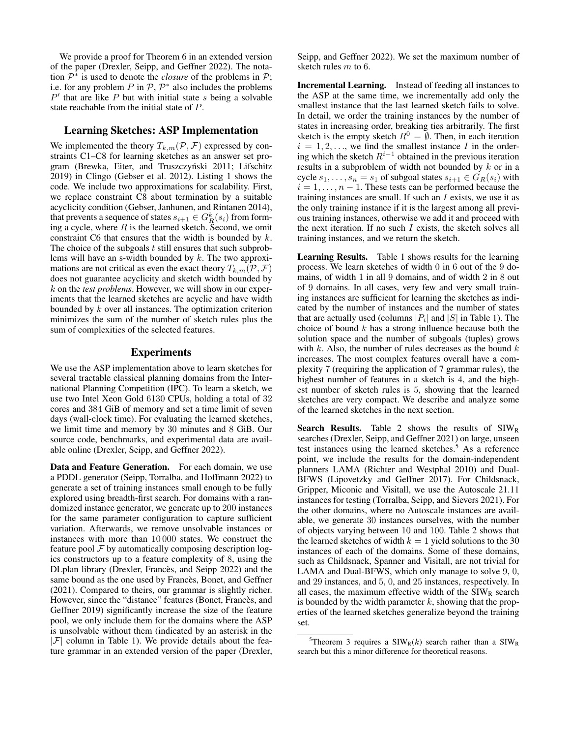We provide a proof for Theorem 6 in an extended version of the paper (Drexler, Seipp, and Geffner 2022). The notation  $\mathcal{P}^*$  is used to denote the *closure* of the problems in  $\mathcal{P}$ ; i.e. for any problem P in  $P$ ,  $P^*$  also includes the problems  $P'$  that are like  $P$  but with initial state  $s$  being a solvable state reachable from the initial state of P.

## Learning Sketches: ASP Implementation

We implemented the theory  $T_{k,m}(P, \mathcal{F})$  expressed by constraints C1–C8 for learning sketches as an answer set program (Brewka, Eiter, and Truszczyński 2011; Lifschitz 2019) in Clingo (Gebser et al. 2012). Listing 1 shows the code. We include two approximations for scalability. First, we replace constraint C8 about termination by a suitable acyclicity condition (Gebser, Janhunen, and Rintanen 2014), that prevents a sequence of states  $s_{i+1} \in G_R^k(s_i)$  from forming a cycle, where  $R$  is the learned sketch. Second, we omit constraint C6 that ensures that the width is bounded by  $k$ . The choice of the subgoals  $t$  still ensures that such subproblems will have an s-width bounded by k. The two approximations are not critical as even the exact theory  $T_{k,m}(P, \mathcal{F})$ does not guarantee acyclicity and sketch width bounded by k on the *test problems*. However, we will show in our experiments that the learned sketches are acyclic and have width bounded by k over all instances. The optimization criterion minimizes the sum of the number of sketch rules plus the sum of complexities of the selected features.

## Experiments

We use the ASP implementation above to learn sketches for several tractable classical planning domains from the International Planning Competition (IPC). To learn a sketch, we use two Intel Xeon Gold 6130 CPUs, holding a total of 32 cores and 384 GiB of memory and set a time limit of seven days (wall-clock time). For evaluating the learned sketches, we limit time and memory by 30 minutes and 8 GiB. Our source code, benchmarks, and experimental data are available online (Drexler, Seipp, and Geffner 2022).

Data and Feature Generation. For each domain, we use a PDDL generator (Seipp, Torralba, and Hoffmann 2022) to generate a set of training instances small enough to be fully explored using breadth-first search. For domains with a randomized instance generator, we generate up to 200 instances for the same parameter configuration to capture sufficient variation. Afterwards, we remove unsolvable instances or instances with more than 10 000 states. We construct the feature pool  $\mathcal F$  by automatically composing description logics constructors up to a feature complexity of 8, using the DLplan library (Drexler, Francès, and Seipp 2022) and the same bound as the one used by Francès, Bonet, and Geffner (2021). Compared to theirs, our grammar is slightly richer. However, since the "distance" features (Bonet, Francès, and Geffner 2019) significantly increase the size of the feature pool, we only include them for the domains where the ASP is unsolvable without them (indicated by an asterisk in the  $|\mathcal{F}|$  column in Table 1). We provide details about the feature grammar in an extended version of the paper (Drexler,

Seipp, and Geffner 2022). We set the maximum number of sketch rules m to 6.

Incremental Learning. Instead of feeding all instances to the ASP at the same time, we incrementally add only the smallest instance that the last learned sketch fails to solve. In detail, we order the training instances by the number of states in increasing order, breaking ties arbitrarily. The first sketch is the empty sketch  $R^0 = \emptyset$ . Then, in each iteration  $i = 1, 2, \ldots$ , we find the smallest instance I in the ordering which the sketch  $R^{i-1}$  obtained in the previous iteration results in a subproblem of width not bounded by  $k$  or in a cycle  $s_1, \ldots, s_n = s_1$  of subgoal states  $s_{i+1} \in G_R(s_i)$  with  $i = 1, \ldots, n - 1$ . These tests can be performed because the training instances are small. If such an  $I$  exists, we use it as the only training instance if it is the largest among all previous training instances, otherwise we add it and proceed with the next iteration. If no such  $I$  exists, the sketch solves all training instances, and we return the sketch.

Learning Results. Table 1 shows results for the learning process. We learn sketches of width 0 in 6 out of the 9 domains, of width 1 in all 9 domains, and of width 2 in 8 out of 9 domains. In all cases, very few and very small training instances are sufficient for learning the sketches as indicated by the number of instances and the number of states that are actually used (columns  $|P_i|$  and  $|S|$  in Table 1). The choice of bound  $k$  has a strong influence because both the solution space and the number of subgoals (tuples) grows with  $k$ . Also, the number of rules decreases as the bound  $k$ increases. The most complex features overall have a complexity 7 (requiring the application of 7 grammar rules), the highest number of features in a sketch is 4, and the highest number of sketch rules is 5, showing that the learned sketches are very compact. We describe and analyze some of the learned sketches in the next section.

**Search Results.** Table 2 shows the results of  $SIW_R$ searches (Drexler, Seipp, and Geffner 2021) on large, unseen test instances using the learned sketches.<sup>5</sup> As a reference point, we include the results for the domain-independent planners LAMA (Richter and Westphal 2010) and Dual-BFWS (Lipovetzky and Geffner 2017). For Childsnack, Gripper, Miconic and Visitall, we use the Autoscale 21.11 instances for testing (Torralba, Seipp, and Sievers 2021). For the other domains, where no Autoscale instances are available, we generate 30 instances ourselves, with the number of objects varying between 10 and 100. Table 2 shows that the learned sketches of width  $k = 1$  yield solutions to the 30 instances of each of the domains. Some of these domains, such as Childsnack, Spanner and Visitall, are not trivial for LAMA and Dual-BFWS, which only manage to solve 9, 0, and 29 instances, and 5, 0, and 25 instances, respectively. In all cases, the maximum effective width of the  $SIW_R$  search is bounded by the width parameter  $k$ , showing that the properties of the learned sketches generalize beyond the training set.

<sup>&</sup>lt;sup>5</sup>Theorem 3 requires a SIW<sub>R</sub>(k) search rather than a SIW<sub>R</sub> search but this a minor difference for theoretical reasons.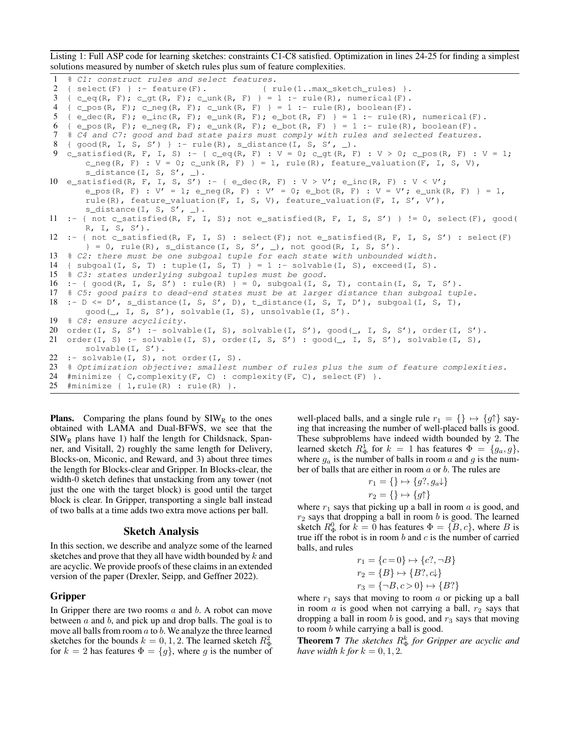Listing 1: Full ASP code for learning sketches: constraints C1-C8 satisfied. Optimization in lines 24-25 for finding a simplest solutions measured by number of sketch rules plus sum of feature complexities.

```
1 % C1: construct rules and select features.
2 { select(F) } :- feature(F). \{rule(1..max\_sketch\_rules)\}.3 \{ c\_eq(R, F); c\_gt(R, F); c\_unk(R, F) \} = 1 : - rule(R), numerical(F).4 { c\_pos(R, F); c\_neg(R, F); c\_unk(R, F) } = 1 :- rule(R), boolean(F).
5 \{ \in \text{dec}(R, F); \in \text{inc}(R, F); \in \text{unk}(R, F); \in \text{bot}(R, F) \} = 1 \text{ :- rule}(R), \text{ numerical}(F).6 { e_pos(R, F); e_neg(R, F); e_unk(R, F); e_bot(R, F) } = 1 :- rule(R), boolean(F).
7 % C4 and C7: good and bad state pairs must comply with rules and selected features.
8 \{ good(R, I, S, S') \} :- rule(R), s_distance(I, S, S', _).
9 c_satisfied(R, F, I, S) :- { c_eq(R, F) : V = 0; c_gt(R, F) : V > 0; c_pos(R, F) : V = 1;
       c_neg(R, F) : V = 0; c_unk(R, F) } = 1, rule(R), feature_valuation(F, I, S, V),
       s<sup>distance</sub>(I, S, S', \Box).</sup>
10 e_satisfied(R, F, I, S, S') :- { e_dec(R, F) : V > V'; e_inc(R, F) : V < V';
       e_pos(R, F) : V' = 1; e_neg(R, F) : V' = 0; e_bot(R, F) : V = V'; e_unk(R, F) } = 1,
       rule(R), feature_valuation(F, I, S, V), feature_valuation(F, I, S', V'),
       s_distance(I, S, S', \Box).
11 :- { not c_satisfied(R, F, I, S); not e_satisfied(R, F, I, S, S') } != 0, select(F), good(
       R, I, S, S').
12 :- { not c_satisfied(R, F, I, S) : select(F); not e_satisfied(R, F, I, S, S') : select(F)
       \} = 0, rule(R), s_distance(I, S, S', _), not good(R, I, S, S').
13 % C2: there must be one subgoal tuple for each state with unbounded width.
14 { subgoal(I, S, T) : tuple(I, S, T) } = 1 :- solvable(I, S), exceed(I, S).
15 % C3: states underlying subgoal tuples must be good.
16 :- { \text{good}(R, I, S, S') : \text{rule}(R) } = 0, \text{subgoal}(I, S, T), \text{contain}(I, S, T, S').
17 % C5: good pairs to dead-end states must be at larger distance than subgoal tuple.
18 :- D <= D', s_distance(I, S, S', D), t_distance(I, S, T, D'), subgoal(I, S, T),
       good(_, I, S, S'), solvable(I, S), unsolvable(I, S').
19 % C8: ensure acyclicity.
20 order(I, S, S') :- solvable(I, S), solvable(I, S'), good(_, I, S, S'), order(I, S').
21 order(I, S) :- solvable(I, S), order(I, S, S') : \text{good}(\_, I, S, S'), solvable(I, S),
       solvable(I, S').
22 :- solvable(I, S), not order(I, S).
23 % Optimization objective: smallest number of rules plus the sum of feature complexities.
24 #minimize { C, complexity(F, C) : complexity(F, C), select(F) }.
25 #minimize \{ 1, rule(R) : rule(R) \}.
```
**Plans.** Comparing the plans found by  $SIW_R$  to the ones obtained with LAMA and Dual-BFWS, we see that the  $SIW_R$  plans have 1) half the length for Childsnack, Spanner, and Visitall, 2) roughly the same length for Delivery, Blocks-on, Miconic, and Reward, and 3) about three times the length for Blocks-clear and Gripper. In Blocks-clear, the width-0 sketch defines that unstacking from any tower (not just the one with the target block) is good until the target block is clear. In Gripper, transporting a single ball instead of two balls at a time adds two extra move actions per ball.

#### Sketch Analysis

In this section, we describe and analyze some of the learned sketches and prove that they all have width bounded by  $k$  and are acyclic. We provide proofs of these claims in an extended version of the paper (Drexler, Seipp, and Geffner 2022).

# Gripper

In Gripper there are two rooms  $a$  and  $b$ . A robot can move between  $a$  and  $b$ , and pick up and drop balls. The goal is to move all balls from room  $a$  to  $b$ . We analyze the three learned sketches for the bounds  $k = 0, 1, 2$ . The learned sketch  $R_{\Phi}^2$ for  $k = 2$  has features  $\Phi = \{g\}$ , where g is the number of

well-placed balls, and a single rule  $r_1 = \{\} \mapsto \{g\uparrow\}$  saying that increasing the number of well-placed balls is good. These subproblems have indeed width bounded by 2. The learned sketch  $R_{\Phi}^1$  for  $k = 1$  has features  $\Phi = \{g_a, g\}$ , where  $g_a$  is the number of balls in room a and g is the number of balls that are either in room a or b. The rules are

$$
r_1 = \{\} \mapsto \{g?, g_a \downarrow\}
$$
  

$$
r_2 = \{\} \mapsto \{g\uparrow\}
$$

where  $r_1$  says that picking up a ball in room a is good, and  $r_2$  says that dropping a ball in room b is good. The learned sketch  $R_{\Phi}^0$  for  $\overline{k} = 0$  has features  $\Phi = \{B, c\}$ , where B is true iff the robot is in room  $b$  and  $c$  is the number of carried balls, and rules

$$
r_1 = \{c = 0\} \mapsto \{c?, \neg B\}
$$
  
\n
$$
r_2 = \{B\} \mapsto \{B?, c\}
$$
  
\n
$$
r_3 = \{\neg B, c > 0\} \mapsto \{B?\}
$$

where  $r_1$  says that moving to room  $\alpha$  or picking up a ball in room  $\alpha$  is good when not carrying a ball,  $r_2$  says that dropping a ball in room  $b$  is good, and  $r_3$  says that moving to room b while carrying a ball is good.

**Theorem 7** *The sketches*  $R^k_{\Phi}$  *for Gripper are acyclic and have width*  $k$  *for*  $k = 0, 1, 2$ *.*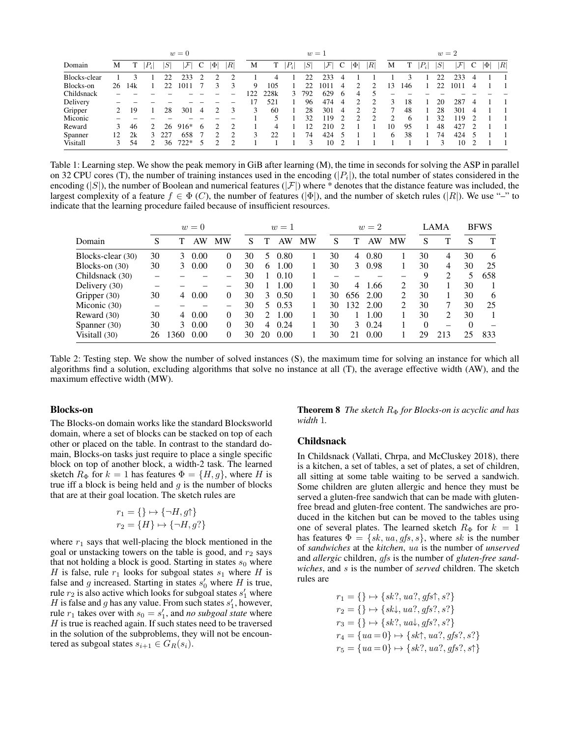| $w=0$        |    |     |       |     |                        |   |          | $w=1$                       |     |      |                    |     |                        |     |          |                           | $w=2$ |              |       |              |               |   |          |   |
|--------------|----|-----|-------|-----|------------------------|---|----------|-----------------------------|-----|------|--------------------|-----|------------------------|-----|----------|---------------------------|-------|--------------|-------|--------------|---------------|---|----------|---|
| Domain       | M  |     | $P_i$ | S   | $\mathcal{F}^{\prime}$ | C | $ \Phi $ | R                           | М   |      | $\left P_i\right $ | S   | $\mathcal{F}^{\prime}$ | C   | $ \Phi $ | $\left\vert R\right\vert$ | M     |              | $P_i$ | $S^{\prime}$ | $\mathcal{F}$ | C | $ \Phi $ | R |
| Blocks-clear |    |     |       | 22  | 233                    | 2 |          | $\mathcal{D}_{\mathcal{A}}$ |     | 4    |                    |     | 233                    | 4   |          |                           |       |              |       | 22           | 233           | 4 |          |   |
| Blocks-on    | 26 | 14k |       | 22  | 1011                   |   |          |                             | 9   | 105  |                    | 22  | 1011                   | 4   |          |                           | 13    | 146          |       | 22           | 1011          | 4 |          |   |
| Childsnack   |    |     |       |     |                        |   |          |                             | 122 | 228k | 3                  | 792 | 629                    | . რ | 4        |                           |       |              |       |              |               |   |          |   |
| Delivery     |    |     |       |     |                        |   |          |                             |     | 521  |                    | 96  | 474                    | 4   |          | ◠                         |       | 18           |       | 20           | 287           | 4 |          |   |
| Gripper      |    | 19  |       | 28  | 301                    | 4 |          | 3                           | 3   | 60   |                    | 28  | 301                    | 4   |          |                           |       | 48           |       | 28           | 301           | 4 |          |   |
| Miconic      |    |     |       |     |                        |   |          |                             |     |      |                    | 32  | 19                     |     |          | ◠                         | ◠     | <sub>0</sub> |       | 32           | .19           |   |          |   |
| Reward       | 3  | 46  |       | 26  | 916*                   | 6 |          |                             |     | 4    |                    | 12  | 210                    |     |          |                           | 10    | 95           |       | 48           | 427           |   |          |   |
| Spanner      | 12 | 2k  |       | 227 | 658                    |   |          |                             | 3   | 22   |                    | 74  | 424                    |     |          |                           | 6     | 38           |       | 74           | 424           |   |          |   |
| Visitall     |    | 54  |       | 36  | $722*$                 | 5 |          |                             |     |      |                    | 3   | 10                     |     |          |                           |       |              |       |              | 10            |   |          |   |

Table 1: Learning step. We show the peak memory in GiB after learning (M), the time in seconds for solving the ASP in parallel on 32 CPU cores (T), the number of training instances used in the encoding  $(|P_i|)$ , the total number of states considered in the encoding  $(|S|)$ , the number of Boolean and numerical features  $(|\mathcal{F}|)$  where \* denotes that the distance feature was included, the largest complexity of a feature  $f \in \Phi(C)$ , the number of features ( $|\Phi|$ ), and the number of sketch rules ( $|R|$ ). We use "-" to indicate that the learning procedure failed because of insufficient resources.

|                   | $w=0$ |               |      |          |    |               | $w=1$ |    |    |     | $w=2$    |    |          | LAMA | <b>BFWS</b> |     |  |
|-------------------|-------|---------------|------|----------|----|---------------|-------|----|----|-----|----------|----|----------|------|-------------|-----|--|
| Domain            | S     |               | AW   | MW       | S  | Т             | AW    | MW | S  |     | AW       | MW | S        | Т    | S           | Т   |  |
| Blocks-clear (30) | 30    | 3             | 0.00 | 0        | 30 | 5.            | 0.80  |    | 30 | 4   | 0.80     |    | 30       | 4    | 30          | 6   |  |
| Blocks-on (30)    | 30    | 3             | 0.00 | 0        | 30 | 6.            | 1.00  |    | 30 | 3   | 0.98     |    | 30       | 4    | 30          | 25  |  |
| Childsnack (30)   |       |               |      |          | 30 |               | 0.10  |    |    |     |          |    | 9        | 2    | 5           | 658 |  |
| Delivery (30)     |       |               |      |          | 30 |               | 1.00  |    | 30 | 4   | 1.66     | 2  | 30       |      | 30          |     |  |
| Gripper (30)      | 30    | 4             | 0.00 | 0        | 30 | $\mathcal{F}$ | 0.50  |    | 30 |     | 656 2.00 | 2  | 30       |      | 30          | 6   |  |
| Miconic (30)      |       |               |      |          | 30 | 5.            | 0.53  |    | 30 | 132 | 2.00     | 2  | 30       |      | 30          | 25  |  |
| Reward (30)       | 30    | 4             | 0.00 | $\Omega$ | 30 | $2^{\circ}$   | 1.00  |    | 30 |     | 1.00     |    | 30       | 2    | 30          |     |  |
| Spanner (30)      | 30    | $\mathcal{E}$ | 0.00 | 0        | 30 | 4             | 0.24  |    | 30 | 3   | 0.24     |    | $\Omega$ |      | $\Omega$    |     |  |
| Visitall (30)     | 26    | 360           | 0.00 | 0        | 30 | 20            | 0.00  |    | 30 | 21  | 0.00     |    | 29       | 213  | 25          | 833 |  |

Table 2: Testing step. We show the number of solved instances (S), the maximum time for solving an instance for which all algorithms find a solution, excluding algorithms that solve no instance at all (T), the average effective width (AW), and the maximum effective width (MW).

#### Blocks-on

The Blocks-on domain works like the standard Blocksworld domain, where a set of blocks can be stacked on top of each other or placed on the table. In contrast to the standard domain, Blocks-on tasks just require to place a single specific block on top of another block, a width-2 task. The learned sketch  $R_{\Phi}$  for  $k = 1$  has features  $\Phi = \{H, g\}$ , where H is true iff a block is being held and  $g$  is the number of blocks that are at their goal location. The sketch rules are

$$
r_1 = \{\} \mapsto \{\neg H, g\uparrow\}
$$

$$
r_2 = \{H\} \mapsto \{\neg H, g?\}
$$

where  $r_1$  says that well-placing the block mentioned in the goal or unstacking towers on the table is good, and  $r_2$  says that not holding a block is good. Starting in states  $s_0$  where H is false, rule  $r_1$  looks for subgoal states  $s_1$  where H is false and g increased. Starting in states  $s'_0$  where H is true, rule  $r_2$  is also active which looks for subgoal states  $s'_1$  where H is false and g has any value. From such states  $s'_1$ , however, rule  $r_1$  takes over with  $s_0 = s_1'$ , and *no subgoal state* where  $H$  is true is reached again. If such states need to be traversed in the solution of the subproblems, they will not be encountered as subgoal states  $s_{i+1} \in G_R(s_i)$ .

**Theorem 8** *The sketch*  $R_{\Phi}$  *for Blocks-on is acyclic and has width* 1*.*

#### Childsnack

In Childsnack (Vallati, Chrpa, and McCluskey 2018), there is a kitchen, a set of tables, a set of plates, a set of children, all sitting at some table waiting to be served a sandwich. Some children are gluten allergic and hence they must be served a gluten-free sandwich that can be made with glutenfree bread and gluten-free content. The sandwiches are produced in the kitchen but can be moved to the tables using one of several plates. The learned sketch  $R_{\Phi}$  for  $k = 1$ has features  $\Phi = \{sk, ua, gfs, s\}$ , where sk is the number of *sandwiches* at the *kitchen*, ua is the number of *unserved* and *allergic* children, gfs is the number of *gluten-free sandwiches*, and s is the number of *served* children. The sketch rules are

$$
r_1 = \{\} \mapsto \{sk?, ua?, gfs\}, s'\}
$$
  
\n
$$
r_2 = \{\} \mapsto \{sk\downarrow, ua?, gfs?, s'\}
$$
  
\n
$$
r_3 = \{\} \mapsto \{sk?, ua\downarrow, gfs?, s'\}
$$
  
\n
$$
r_4 = \{ua = 0\} \mapsto \{sk\uparrow, ua?, gfs?, s'\}
$$
  
\n
$$
r_5 = \{ua = 0\} \mapsto \{sk?, ua?, gfs?, s\}
$$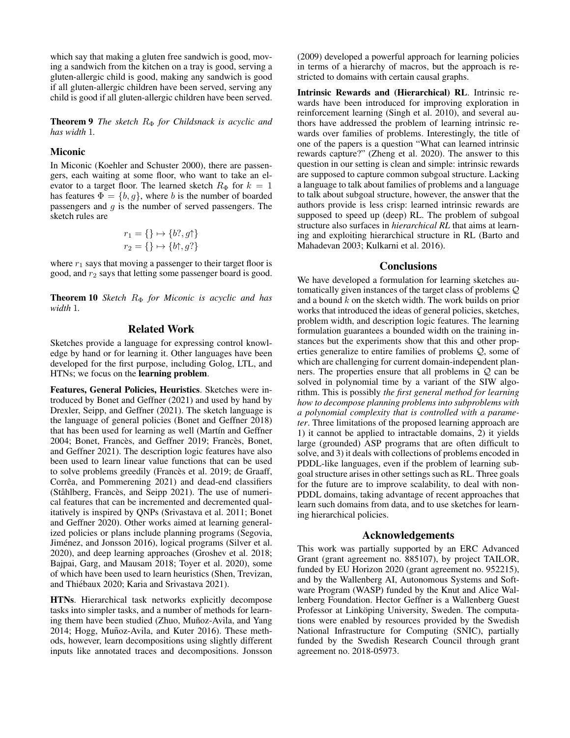which say that making a gluten free sandwich is good, moving a sandwich from the kitchen on a tray is good, serving a gluten-allergic child is good, making any sandwich is good if all gluten-allergic children have been served, serving any child is good if all gluten-allergic children have been served.

**Theorem 9** *The sketch*  $R$ <sup> $Φ$ </sup> *for Childsnack is acyclic and has width* 1*.*

#### Miconic

In Miconic (Koehler and Schuster 2000), there are passengers, each waiting at some floor, who want to take an elevator to a target floor. The learned sketch  $R_{\Phi}$  for  $k = 1$ has features  $\Phi = \{b, g\}$ , where b is the number of boarded passengers and  $q$  is the number of served passengers. The sketch rules are

$$
r_1 = \{\} \mapsto \{b?, g\uparrow\}
$$
  

$$
r_2 = \{\} \mapsto \{b\uparrow, g?\}
$$

where  $r_1$  says that moving a passenger to their target floor is good, and  $r_2$  says that letting some passenger board is good.

Theorem 10 *Sketch R*<sub>Φ</sub> *for Miconic is acyclic and has width* 1*.*

# Related Work

Sketches provide a language for expressing control knowledge by hand or for learning it. Other languages have been developed for the first purpose, including Golog, LTL, and HTNs; we focus on the learning problem.

Features, General Policies, Heuristics. Sketches were introduced by Bonet and Geffner (2021) and used by hand by Drexler, Seipp, and Geffner (2021). The sketch language is the language of general policies (Bonet and Geffner 2018) that has been used for learning as well (Martín and Geffner 2004; Bonet, Francès, and Geffner 2019; Francès, Bonet, and Geffner 2021). The description logic features have also been used to learn linear value functions that can be used to solve problems greedily (Francès et al. 2019; de Graaff, Corrêa, and Pommerening 2021) and dead-end classifiers (Ståhlberg, Francès, and Seipp 2021). The use of numerical features that can be incremented and decremented qualitatively is inspired by QNPs (Srivastava et al. 2011; Bonet and Geffner 2020). Other works aimed at learning generalized policies or plans include planning programs (Segovia, Jiménez, and Jonsson 2016), logical programs (Silver et al. 2020), and deep learning approaches (Groshev et al. 2018; Bajpai, Garg, and Mausam 2018; Toyer et al. 2020), some of which have been used to learn heuristics (Shen, Trevizan, and Thiébaux 2020; Karia and Srivastava 2021).

HTNs. Hierarchical task networks explicitly decompose tasks into simpler tasks, and a number of methods for learning them have been studied (Zhuo, Muñoz-Avila, and Yang 2014; Hogg, Muñoz-Avila, and Kuter 2016). These methods, however, learn decompositions using slightly different inputs like annotated traces and decompositions. Jonsson

(2009) developed a powerful approach for learning policies in terms of a hierarchy of macros, but the approach is restricted to domains with certain causal graphs.

Intrinsic Rewards and (Hierarchical) RL. Intrinsic rewards have been introduced for improving exploration in reinforcement learning (Singh et al. 2010), and several authors have addressed the problem of learning intrinsic rewards over families of problems. Interestingly, the title of one of the papers is a question "What can learned intrinsic rewards capture?" (Zheng et al. 2020). The answer to this question in our setting is clean and simple: intrinsic rewards are supposed to capture common subgoal structure. Lacking a language to talk about families of problems and a language to talk about subgoal structure, however, the answer that the authors provide is less crisp: learned intrinsic rewards are supposed to speed up (deep) RL. The problem of subgoal structure also surfaces in *hierarchical RL* that aims at learning and exploiting hierarchical structure in RL (Barto and Mahadevan 2003; Kulkarni et al. 2016).

## **Conclusions**

We have developed a formulation for learning sketches automatically given instances of the target class of problems Q and a bound  $k$  on the sketch width. The work builds on prior works that introduced the ideas of general policies, sketches, problem width, and description logic features. The learning formulation guarantees a bounded width on the training instances but the experiments show that this and other properties generalize to entire families of problems Q, some of which are challenging for current domain-independent planners. The properties ensure that all problems in  $Q$  can be solved in polynomial time by a variant of the SIW algorithm. This is possibly *the first general method for learning how to decompose planning problems into subproblems with a polynomial complexity that is controlled with a parameter*. Three limitations of the proposed learning approach are 1) it cannot be applied to intractable domains, 2) it yields large (grounded) ASP programs that are often difficult to solve, and 3) it deals with collections of problems encoded in PDDL-like languages, even if the problem of learning subgoal structure arises in other settings such as RL. Three goals for the future are to improve scalability, to deal with non-PDDL domains, taking advantage of recent approaches that learn such domains from data, and to use sketches for learning hierarchical policies.

## Acknowledgements

This work was partially supported by an ERC Advanced Grant (grant agreement no. 885107), by project TAILOR, funded by EU Horizon 2020 (grant agreement no. 952215), and by the Wallenberg AI, Autonomous Systems and Software Program (WASP) funded by the Knut and Alice Wallenberg Foundation. Hector Geffner is a Wallenberg Guest Professor at Linköping University, Sweden. The computations were enabled by resources provided by the Swedish National Infrastructure for Computing (SNIC), partially funded by the Swedish Research Council through grant agreement no. 2018-05973.